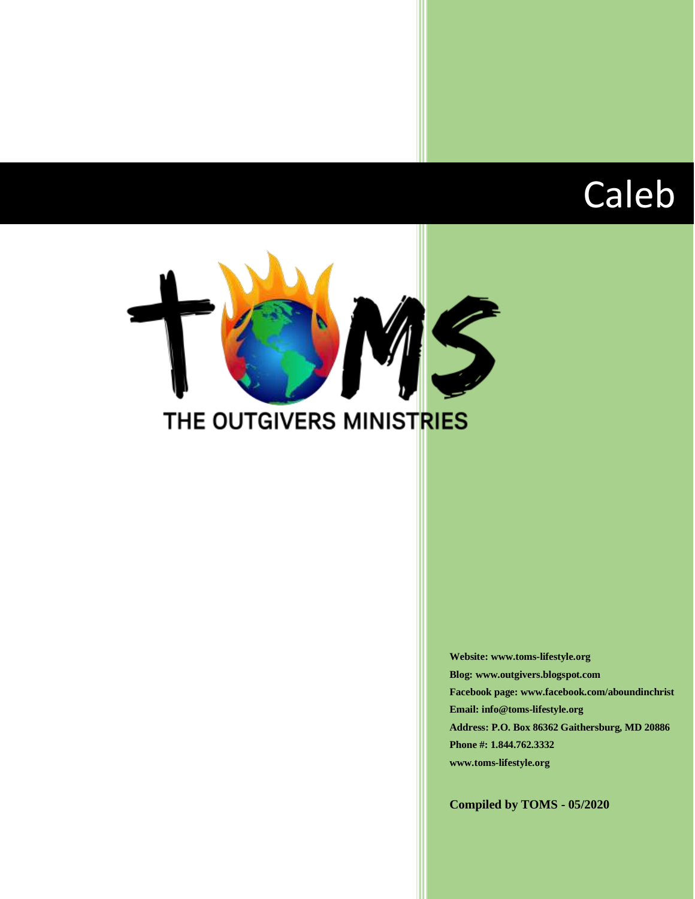# Caleb



**Website: www.toms-lifestyle.org Blog: www.outgivers.blogspot.com Facebook page: www.facebook.com/aboundinchrist Email: info@toms-lifestyle.org Address: P.O. Box 86362 Gaithersburg, MD 20886 Phone #: 1.844.762.3332 www.toms-lifestyle.org**

**Compiled by TOMS - 05/2020**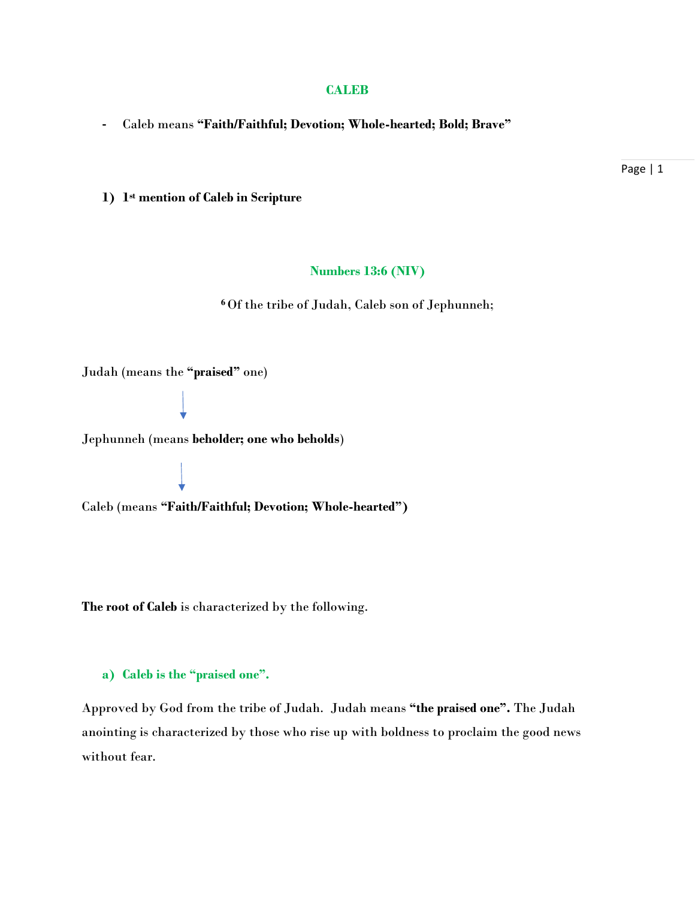#### **CALEB**

**-** Caleb means **"Faith/Faithful; Devotion; Whole-hearted; Bold; Brave"**

**1) 1 st mention of Caleb in Scripture**

#### **Numbers 13:6 (NIV)**

**<sup>6</sup>** Of the tribe of Judah, Caleb son of Jephunneh;

Judah (means the **"praised"** one)

Jephunneh (means **beholder; one who beholds**)

Caleb (means **"Faith/Faithful; Devotion; Whole-hearted")**

**The root of Caleb** is characterized by the following.

#### **a) Caleb is the "praised one".**

Approved by God from the tribe of Judah. Judah means **"the praised one".** The Judah anointing is characterized by those who rise up with boldness to proclaim the good news without fear.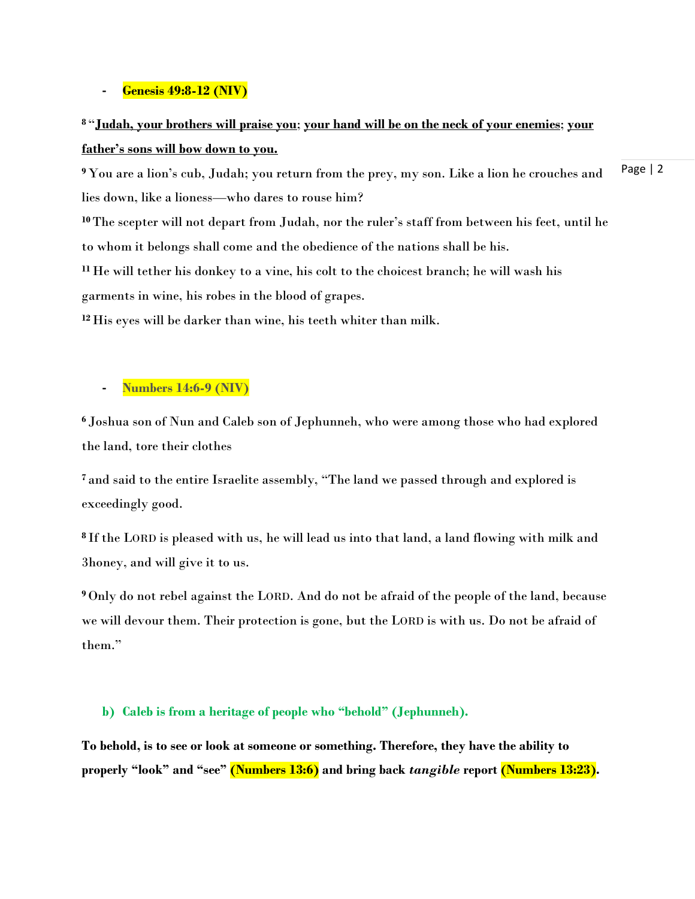#### **- Genesis 49:8-12 (NIV)**

# **<sup>8</sup>** "**Judah, your brothers will praise you**; **your hand will be on the neck of your enemies**; **your father's sons will bow down to you.**

Page | 2 **<sup>9</sup>** You are a lion's cub, Judah; you return from the prey, my son. Like a lion he crouches and lies down, like a lioness—who dares to rouse him?

**<sup>10</sup>**The scepter will not depart from Judah, nor the ruler's staff from between his feet, until he to whom it belongs shall come and the obedience of the nations shall be his.

**<sup>11</sup>** He will tether his donkey to a vine, his colt to the choicest branch; he will wash his garments in wine, his robes in the blood of grapes.

**<sup>12</sup>** His eyes will be darker than wine, his teeth whiter than milk.

### **- Numbers 14:6-9 (NIV)**

**<sup>6</sup>** Joshua son of Nun and Caleb son of Jephunneh, who were among those who had explored the land, tore their clothes

**<sup>7</sup>** and said to the entire Israelite assembly, "The land we passed through and explored is exceedingly good.

**<sup>8</sup>** If the LORD is pleased with us, he will lead us into that land, a land flowing with milk and 3honey, and will give it to us.

**<sup>9</sup>** Only do not rebel against the LORD. And do not be afraid of the people of the land, because we will devour them. Their protection is gone, but the LORD is with us. Do not be afraid of them."

#### **b) Caleb is from a heritage of people who "behold" (Jephunneh).**

**To behold, is to see or look at someone or something. Therefore, they have the ability to properly "look" and "see" (Numbers 13:6) and bring back** *tangible* **report (Numbers 13:23).**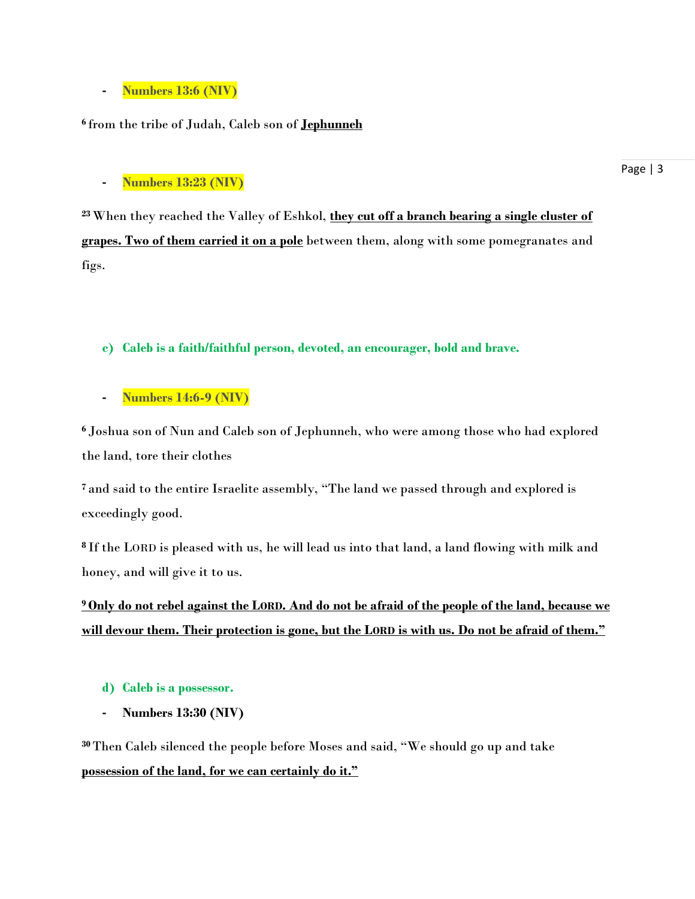# **- Numbers 13:6 (NIV)**

# **6** from the tribe of Judah, Caleb son of **Jephunneh**

# **- Numbers 13:23 (NIV)**

**<sup>23</sup>**When they reached the Valley of Eshkol, **they cut off a branch bearing a single cluster of grapes. Two of them carried it on a pole** between them, along with some pomegranates and figs.

### **c) Caleb is a faith/faithful person, devoted, an encourager, bold and brave.**

# **- Numbers 14:6-9 (NIV)**

**<sup>6</sup>** Joshua son of Nun and Caleb son of Jephunneh, who were among those who had explored the land, tore their clothes

**<sup>7</sup>** and said to the entire Israelite assembly, "The land we passed through and explored is exceedingly good.

**<sup>8</sup>** If the LORD is pleased with us, he will lead us into that land, a land flowing with milk and honey, and will give it to us.

**<sup>9</sup>Only do not rebel against the LORD. And do not be afraid of the people of the land, because we will devour them. Their protection is gone, but the LORD is with us. Do not be afraid of them."**

### **d) Caleb is a possessor.**

**- Numbers 13:30 (NIV)**

**<sup>30</sup>**Then Caleb silenced the people before Moses and said, "We should go up and take **possession of the land, for we can certainly do it."**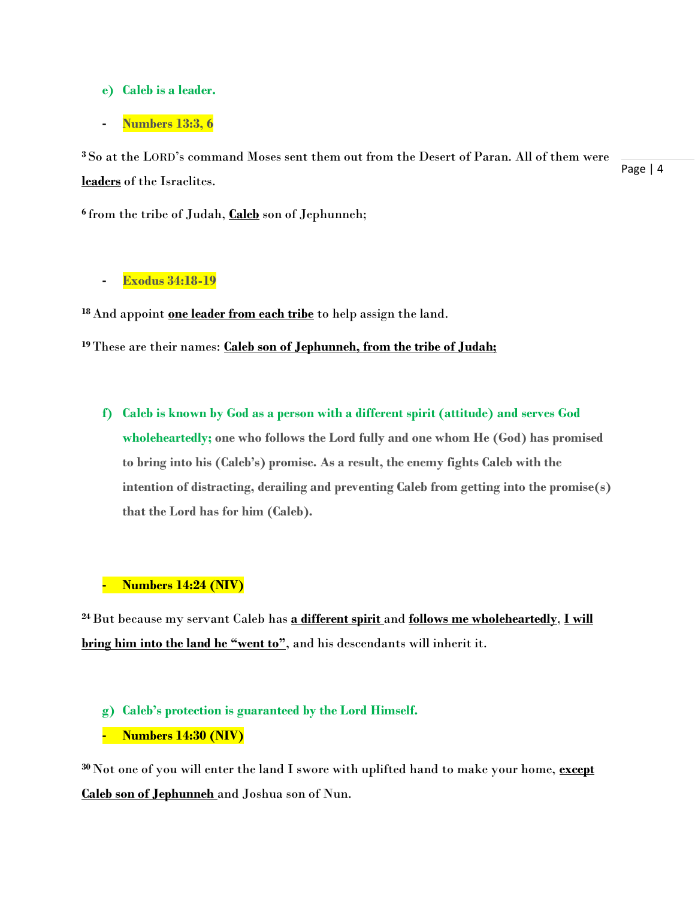- **e) Caleb is a leader.**
- **- Numbers 13:3, 6**

Page | 4 **<sup>3</sup>** So at the LORD's command Moses sent them out from the Desert of Paran. All of them were **leaders** of the Israelites.

**6** from the tribe of Judah, **Caleb** son of Jephunneh;

#### **- Exodus 34:18-19**

**<sup>18</sup>** And appoint **one leader from each tribe** to help assign the land.

**<sup>19</sup>**These are their names: **Caleb son of Jephunneh, from the tribe of Judah;**

**f) Caleb is known by God as a person with a different spirit (attitude) and serves God wholeheartedly; one who follows the Lord fully and one whom He (God) has promised to bring into his (Caleb's) promise. As a result, the enemy fights Caleb with the intention of distracting, derailing and preventing Caleb from getting into the promise(s) that the Lord has for him (Caleb).**

# **- Numbers 14:24 (NIV)**

**<sup>24</sup>**But because my servant Caleb has **a different spirit** and **follows me wholeheartedly**, **I will bring him into the land he "went to"**, and his descendants will inherit it.

# **g) Caleb's protection is guaranteed by the Lord Himself.**

**- Numbers 14:30 (NIV)**

**<sup>30</sup>** Not one of you will enter the land I swore with uplifted hand to make your home, **except Caleb son of Jephunneh** and Joshua son of Nun.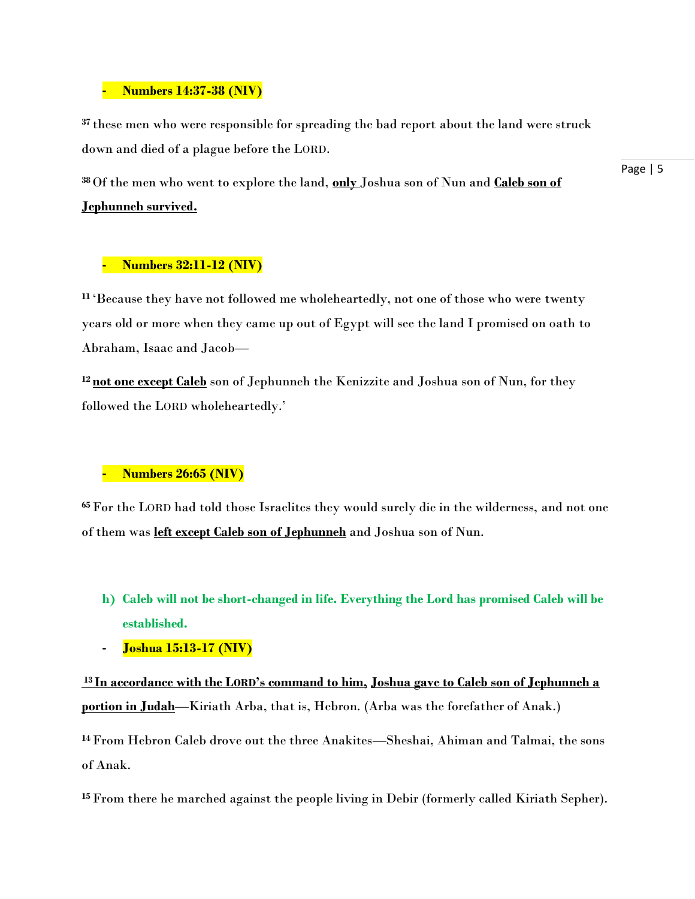#### **- Numbers 14:37-38 (NIV)**

**<sup>37</sup>** these men who were responsible for spreading the bad report about the land were struck down and died of a plague before the LORD.

**<sup>38</sup>** Of the men who went to explore the land, **only** Joshua son of Nun and **Caleb son of Jephunneh survived.**

Page | 5

# **- Numbers 32:11-12 (NIV)**

**<sup>11</sup>** 'Because they have not followed me wholeheartedly, not one of those who were twenty years old or more when they came up out of Egypt will see the land I promised on oath to Abraham, Isaac and Jacob—

**<sup>12</sup> not one except Caleb** son of Jephunneh the Kenizzite and Joshua son of Nun, for they followed the LORD wholeheartedly.'

# **- Numbers 26:65 (NIV)**

**<sup>65</sup>**For the LORD had told those Israelites they would surely die in the wilderness, and not one of them was **left except Caleb son of Jephunneh** and Joshua son of Nun.

- **h) Caleb will not be short-changed in life. Everything the Lord has promised Caleb will be established.**
- **- Joshua 15:13-17 (NIV)**

**<sup>13</sup> In accordance with the LORD's command to him, Joshua gave to Caleb son of Jephunneh a portion in Judah**—Kiriath Arba, that is, Hebron. (Arba was the forefather of Anak.)

**<sup>14</sup>**From Hebron Caleb drove out the three Anakites—Sheshai, Ahiman and Talmai, the sons of Anak.

**15**From there he marched against the people living in Debir (formerly called Kiriath Sepher).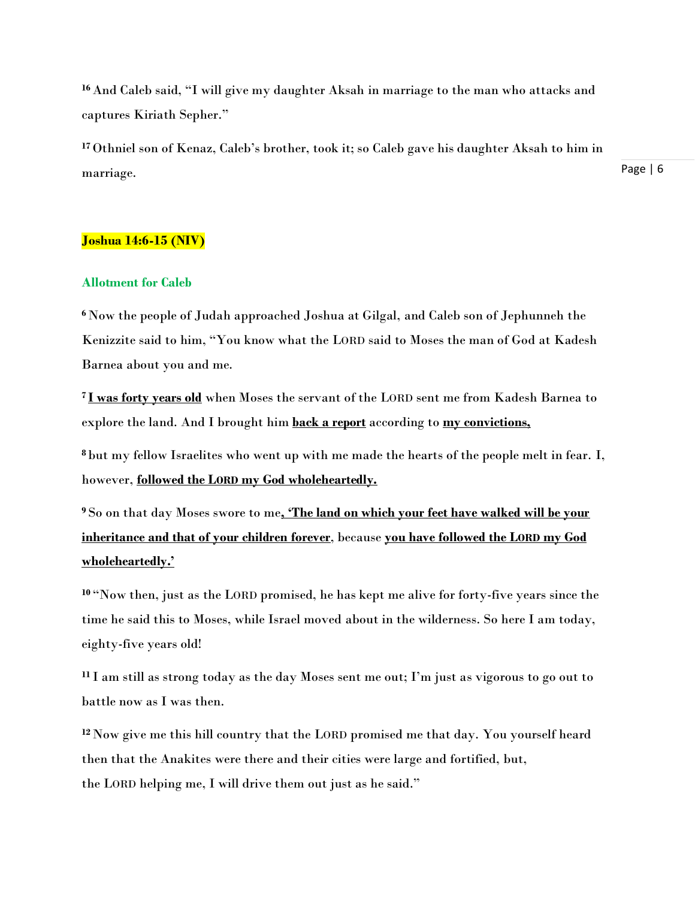**<sup>16</sup>** And Caleb said, "I will give my daughter Aksah in marriage to the man who attacks and captures Kiriath Sepher."

**<sup>17</sup>** Othniel son of Kenaz, Caleb's brother, took it; so Caleb gave his daughter Aksah to him in marriage.

#### **Joshua 14:6-15 (NIV)**

#### **Allotment for Caleb**

**<sup>6</sup>** Now the people of Judah approached Joshua at Gilgal, and Caleb son of Jephunneh the Kenizzite said to him, "You know what the LORD said to Moses the man of God at Kadesh Barnea about you and me.

**<sup>7</sup> I was forty years old** when Moses the servant of the LORD sent me from Kadesh Barnea to explore the land. And I brought him **back a report** according to **my convictions,**

**<sup>8</sup>** but my fellow Israelites who went up with me made the hearts of the people melt in fear. I, however, **followed the LORD my God wholeheartedly.**

**<sup>9</sup>** So on that day Moses swore to me**, 'The land on which your feet have walked will be your inheritance and that of your children forever**, because **you have followed the LORD my God wholeheartedly.'**

**<sup>10</sup>** "Now then, just as the LORD promised, he has kept me alive for forty-five years since the time he said this to Moses, while Israel moved about in the wilderness. So here I am today, eighty-five years old!

**<sup>11</sup>** I am still as strong today as the day Moses sent me out; I'm just as vigorous to go out to battle now as I was then.

**<sup>12</sup>** Now give me this hill country that the LORD promised me that day. You yourself heard then that the Anakites were there and their cities were large and fortified, but, the LORD helping me, I will drive them out just as he said."